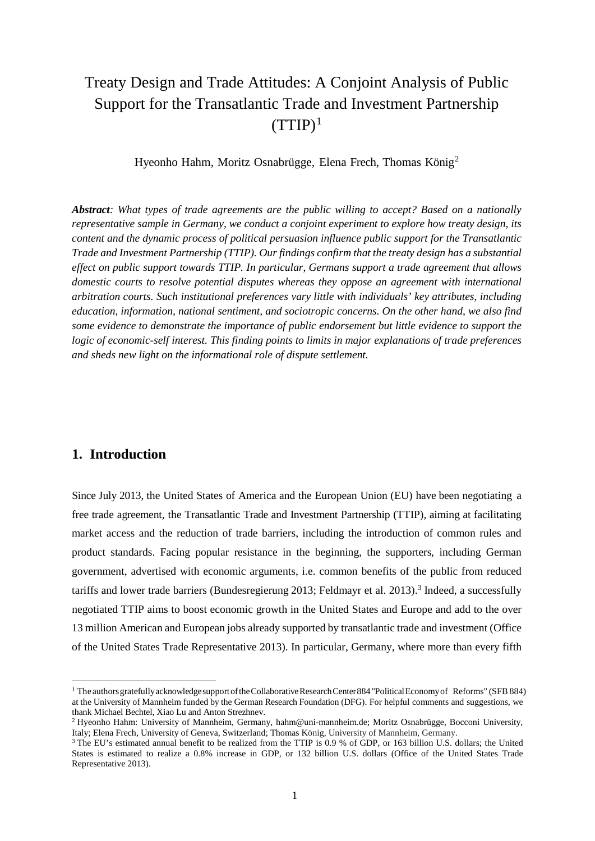# Treaty Design and Trade Attitudes: A Conjoint Analysis of Public Support for the Transatlantic Trade and Investment Partnership  $(TTIP)^1$  $(TTIP)^1$

Hyeonho Hahm, Moritz Osnabrügge, Elena Frech, Thomas König[2](#page-0-1)

*Abstract: What types of trade agreements are the public willing to accept? Based on a nationally representative sample in Germany, we conduct a conjoint experiment to explore how treaty design, its content and the dynamic process of political persuasion influence public support for the Transatlantic Trade and Investment Partnership (TTIP). Our findings confirm that the treaty design has a substantial effect on public support towards TTIP. In particular, Germans support a trade agreement that allows domestic courts to resolve potential disputes whereas they oppose an agreement with international arbitration courts. Such institutional preferences vary little with individuals' key attributes, including education, information, national sentiment, and sociotropic concerns. On the other hand, we also find some evidence to demonstrate the importance of public endorsement but little evidence to support the logic of economic-self interest. This finding points to limits in major explanations of trade preferences and sheds new light on the informational role of dispute settlement.*

# **1. Introduction**

1

Since July 2013, the United States of America and the European Union (EU) have been negotiating a free trade agreement, the Transatlantic Trade and Investment Partnership (TTIP), aiming at facilitating market access and the reduction of trade barriers, including the introduction of common rules and product standards. Facing popular resistance in the beginning, the supporters, including German government, advertised with economic arguments, i.e. common benefits of the public from reduced tariffs and lower trade barriers [\(Bundesregierung](#page-22-0) [2013;](#page-22-0) Feldmayr et al. 2013).<sup>3</sup> Indeed, a successfully negotiated TTIP aims to boost economic growth in the United States and Europe and add to the over 13 million American and European jobs already supported by transatlantic trade and investment (Office of the United States Trade Representative 2013). In particular, Germany, where more than every fifth

<span id="page-0-0"></span><sup>1</sup> The authorsgratefullyacknowledgesupportoftheCollaborativeResearchCenter884"PoliticalEconomyof Reforms" (SFB 884) at the University of Mannheim funded by the German Research Foundation (DFG). For helpful comments and suggestions, we thank Michael Bechtel, Xiao Lu and Anton Strezhnev.

<span id="page-0-1"></span><sup>2</sup> Hyeonho Hahm: University of Mannheim, Germany, [hahm@uni-mannheim.de;](mailto:hahm@uni-mannheim.de) Moritz Osnabrügge, Bocconi University, Italy; Elena Frech, University of Geneva, Switzerland; Thomas König, University of Mannheim, Germany.

<span id="page-0-2"></span><sup>&</sup>lt;sup>3</sup> The EU's estimated annual benefit to be realized from the TTIP is 0.9 % of GDP, or 163 billion U.S. dollars; the United States is estimated to realize a 0.8% increase in GDP, or 132 billion U.S. dollars (Office of the United States Trade Representative 2013).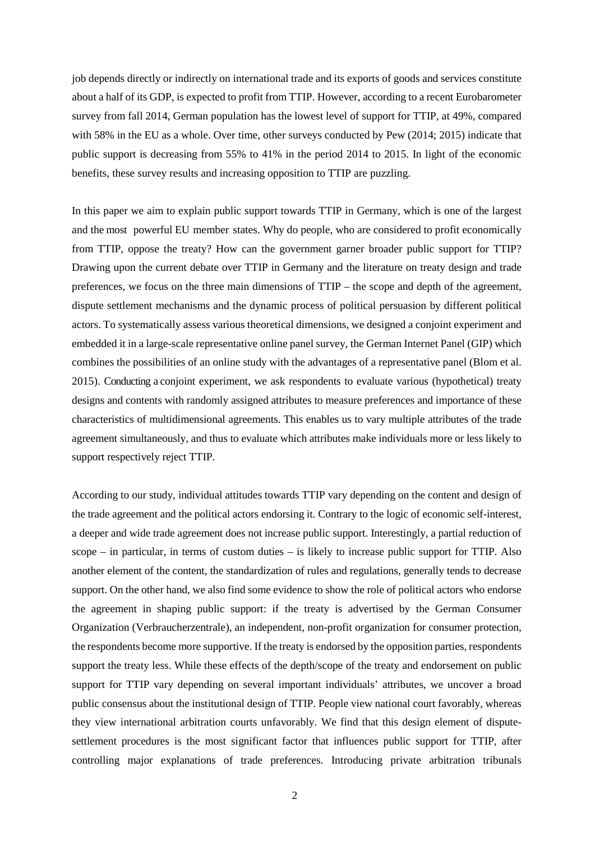job depends directly or indirectly on international trade and its exports of goods and services constitute about a half of its GDP, is expected to profit from TTIP. However, according to a recent Eurobarometer survey from fall 2014, German population has the lowest level of support for TTIP, at 49%, compared with 58% in the EU as a whole. Over time, other surveys conducted by Pew (2014; 2015) indicate that public support is decreasing from 55% to 41% in the period 2014 to 2015. In light of the economic benefits, these survey results and increasing opposition to TTIP are puzzling.

In this paper we aim to explain public support towards TTIP in Germany, which is one of the largest and the most powerful EU member states. Why do people, who are considered to profit economically from TTIP, oppose the treaty? How can the government garner broader public support for TTIP? Drawing upon the current debate over TTIP in Germany and the literature on treaty design and trade preferences, we focus on the three main dimensions of TTIP – the scope and depth of the agreement, dispute settlement mechanisms and the dynamic process of political persuasion by different political actors. To systematically assess various theoretical dimensions, we designed a conjoint experiment and embedded it in a large-scale representative online panel survey, the German Internet Panel (GIP) which combines the possibilities of an online study with the advantages of a representative panel (Blom et al. 2015). Conducting a conjoint experiment, we ask respondents to evaluate various (hypothetical) treaty designs and contents with randomly assigned attributes to measure preferences and importance of these characteristics of multidimensional agreements. This enables us to vary multiple attributes of the trade agreement simultaneously, and thus to evaluate which attributes make individuals more or less likely to support respectively reject TTIP.

According to our study, individual attitudes towards TTIP vary depending on the content and design of the trade agreement and the political actors endorsing it. Contrary to the logic of economic self-interest, a deeper and wide trade agreement does not increase public support. Interestingly, a partial reduction of scope – in particular, in terms of custom duties – is likely to increase public support for TTIP. Also another element of the content, the standardization of rules and regulations, generally tends to decrease support. On the other hand, we also find some evidence to show the role of political actors who endorse the agreement in shaping public support: if the treaty is advertised by the German Consumer Organization (Verbraucherzentrale), an independent, non-profit organization for consumer protection, the respondents become more supportive. If the treaty is endorsed by the opposition parties, respondents support the treaty less. While these effects of the depth/scope of the treaty and endorsement on public support for TTIP vary depending on several important individuals' attributes, we uncover a broad public consensus about the institutional design of TTIP. People view national court favorably, whereas they view international arbitration courts unfavorably. We find that this design element of disputesettlement procedures is the most significant factor that influences public support for TTIP, after controlling major explanations of trade preferences. Introducing private arbitration tribunals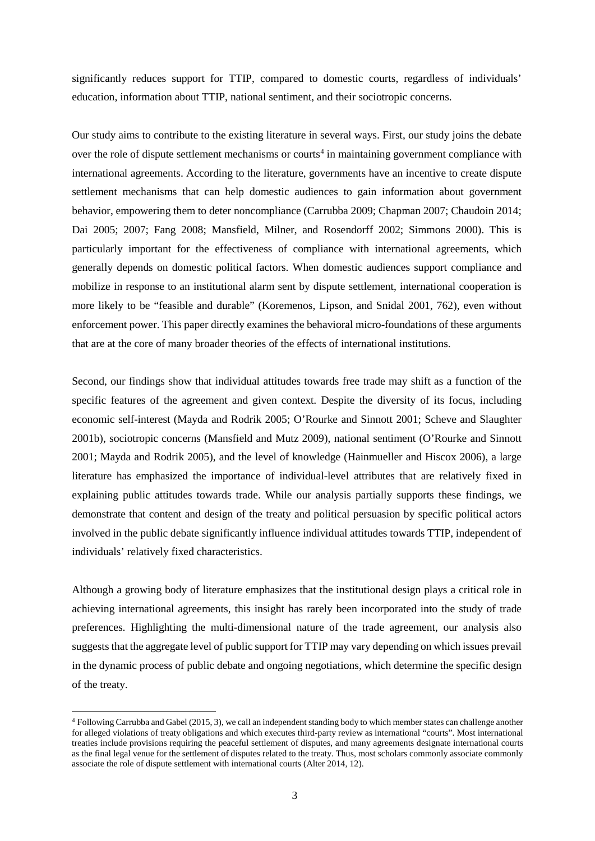significantly reduces support for TTIP, compared to domestic courts, regardless of individuals' education, information about TTIP, national sentiment, and their sociotropic concerns.

Our study aims to contribute to the existing literature in several ways. First, our study joins the debate over the role of dispute settlement mechanisms or courts<sup>[4](#page-2-0)</sup> in maintaining government compliance with international agreements. According to the literature, governments have an incentive to create dispute settlement mechanisms that can help domestic audiences to gain information about government behavior, empowering them to deter noncompliance (Carrubba 2009; Chapman 2007; Chaudoin 2014; Dai 2005; 2007; Fang 2008; Mansfield, Milner, and Rosendorff 2002; Simmons 2000). This is particularly important for the effectiveness of compliance with international agreements, which generally depends on domestic political factors. When domestic audiences support compliance and mobilize in response to an institutional alarm sent by dispute settlement, international cooperation is more likely to be "feasible and durable" (Koremenos, Lipson, and Snidal 2001, 762), even without enforcement power. This paper directly examines the behavioral micro-foundations of these arguments that are at the core of many broader theories of the effects of international institutions.

Second, our findings show that individual attitudes towards free trade may shift as a function of the specific features of the agreement and given context. Despite the diversity of its focus, including economic self-interest (Mayda and Rodrik 2005; O'Rourke and Sinnott 2001; Scheve and Slaughter 2001b), sociotropic concerns (Mansfield and Mutz 2009), national sentiment (O'Rourke and Sinnott 2001; Mayda and Rodrik 2005), and the level of knowledge (Hainmueller and Hiscox 2006), a large literature has emphasized the importance of individual-level attributes that are relatively fixed in explaining public attitudes towards trade. While our analysis partially supports these findings, we demonstrate that content and design of the treaty and political persuasion by specific political actors involved in the public debate significantly influence individual attitudes towards TTIP, independent of individuals' relatively fixed characteristics.

Although a growing body of literature emphasizes that the institutional design plays a critical role in achieving international agreements, this insight has rarely been incorporated into the study of trade preferences. Highlighting the multi-dimensional nature of the trade agreement, our analysis also suggests that the aggregate level of public support for TTIP may vary depending on which issues prevail in the dynamic process of public debate and ongoing negotiations, which determine the specific design of the treaty.

**.** 

<span id="page-2-0"></span><sup>4</sup> Following Carrubba and Gabel (2015, 3), we call an independent standing body to which member states can challenge another for alleged violations of treaty obligations and which executes third-party review as international "courts". Most international treaties include provisions requiring the peaceful settlement of disputes, and many agreements designate international courts as the final legal venue for the settlement of disputes related to the treaty. Thus, most scholars commonly associate commonly associate the role of dispute settlement with international courts (Alter 2014, 12).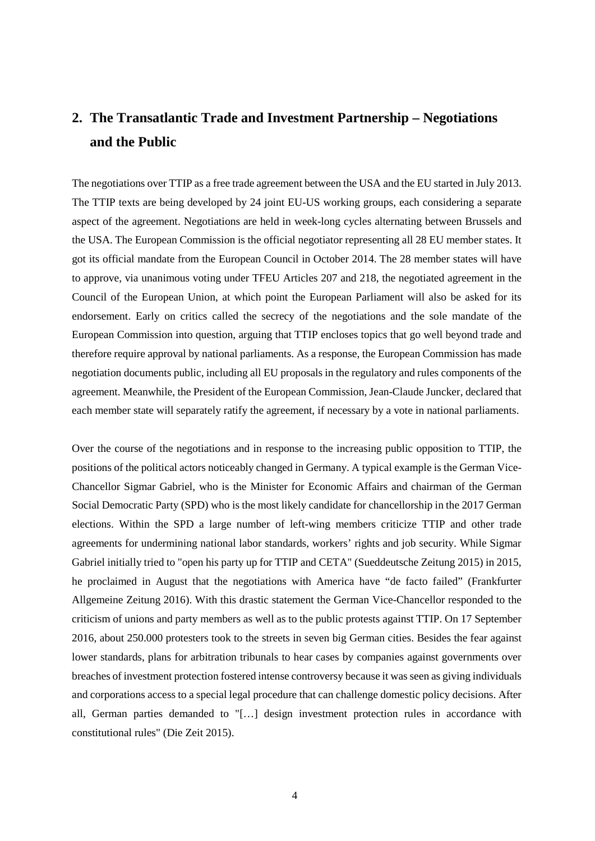# **2. The Transatlantic Trade and Investment Partnership – Negotiations and the Public**

The negotiations over TTIP as a free trade agreement between the USA and the EU started in July 2013. The TTIP texts are being developed by 24 joint EU-US working groups, each considering a separate aspect of the agreement. Negotiations are held in week-long cycles alternating between Brussels and the USA. The European Commission is the official negotiator representing all 28 EU member states. It got its official mandate from the European Council in October 2014. The 28 member states will have to approve, via unanimous voting under TFEU Articles 207 and 218, the negotiated agreement in the Council of the European Union, at which point the European Parliament will also be asked for its endorsement. Early on critics called the secrecy of the negotiations and the sole mandate of the European Commission into question, arguing that TTIP encloses topics that go well beyond trade and therefore require approval by national parliaments. As a response, the European Commission has made negotiation documents public, including all EU proposals in the regulatory and rules components of the agreement. Meanwhile, the President of the European Commission, Jean-Claude Juncker, declared that each member state will separately ratify the agreement, if necessary by a vote in national parliaments.

Over the course of the negotiations and in response to the increasing public opposition to TTIP, the positions of the political actors noticeably changed in Germany. A typical example is the German Vice-Chancellor Sigmar Gabriel, who is the Minister for Economic Affairs and chairman of the German Social Democratic Party (SPD) who is the most likely candidate for chancellorship in the 2017 German elections. Within the SPD a large number of left-wing members criticize TTIP and other trade agreements for undermining national labor standards, workers' rights and job security. While Sigmar Gabriel initially tried to "open his party up for TTIP and CETA" (Sueddeutsche Zeitung 2015) in 2015, he proclaimed in August that the negotiations with America have "de facto failed" (Frankfurter Allgemeine Zeitung 2016). With this drastic statement the German Vice-Chancellor responded to the criticism of unions and party members as well as to the public protests against TTIP. On 17 September 2016, about 250.000 protesters took to the streets in seven big German cities. Besides the fear against lower standards, plans for arbitration tribunals to hear cases by companies against governments over breaches of investment protection fostered intense controversy because it was seen as giving individuals and corporations access to a special legal procedure that can challenge domestic policy decisions. After all, German parties demanded to "[…] design investment protection rules in accordance with constitutional rules" (Die Zeit 2015).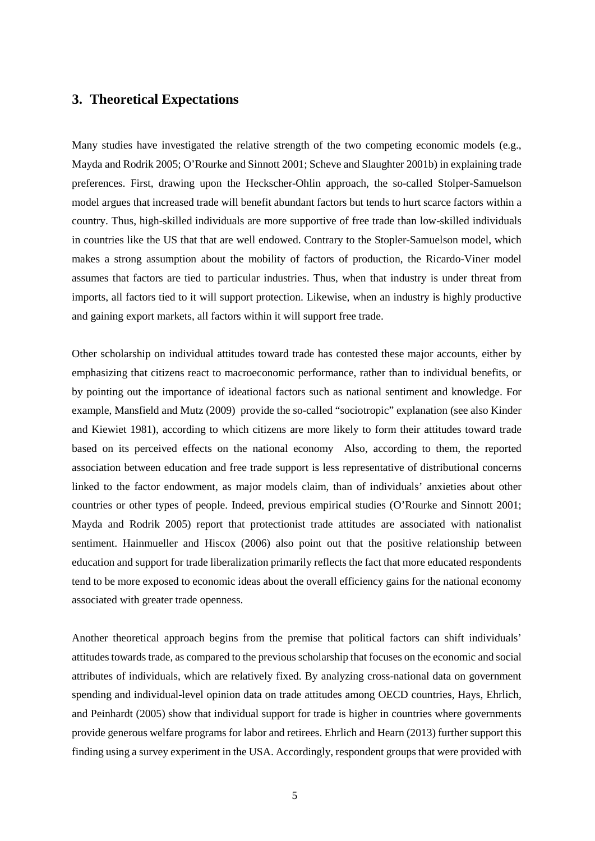# **3. Theoretical Expectations**

Many studies have investigated the relative strength of the two competing economic models (e.g., Mayda and Rodrik 2005; O'Rourke and Sinnott 2001; Scheve and Slaughter 2001b) in explaining trade preferences. First, drawing upon the Heckscher-Ohlin approach, the so-called Stolper-Samuelson model argues that increased trade will benefit abundant factors but tends to hurt scarce factors within a country. Thus, high-skilled individuals are more supportive of free trade than low-skilled individuals in countries like the US that that are well endowed. Contrary to the Stopler-Samuelson model, which makes a strong assumption about the mobility of factors of production, the Ricardo-Viner model assumes that factors are tied to particular industries. Thus, when that industry is under threat from imports, all factors tied to it will support protection. Likewise, when an industry is highly productive and gaining export markets, all factors within it will support free trade.

Other scholarship on individual attitudes toward trade has contested these major accounts, either by emphasizing that citizens react to macroeconomic performance, rather than to individual benefits, or by pointing out the importance of ideational factors such as national sentiment and knowledge. For example, Mansfield and Mutz (2009) provide the so-called "sociotropic" explanation (see also Kinder and Kiewiet 1981), according to which citizens are more likely to form their attitudes toward trade based on its perceived effects on the national economy Also, according to them, the reported association between education and free trade support is less representative of distributional concerns linked to the factor endowment, as major models claim, than of individuals' anxieties about other countries or other types of people. Indeed, previous empirical studies (O'Rourke and Sinnott 2001; Mayda and Rodrik 2005) report that protectionist trade attitudes are associated with nationalist sentiment. Hainmueller and Hiscox (2006) also point out that the positive relationship between education and support for trade liberalization primarily reflects the fact that more educated respondents tend to be more exposed to economic ideas about the overall efficiency gains for the national economy associated with greater trade openness.

Another theoretical approach begins from the premise that political factors can shift individuals' attitudes towards trade, as compared to the previous scholarship that focuses on the economic and social attributes of individuals, which are relatively fixed. By analyzing cross-national data on government spending and individual-level opinion data on trade attitudes among OECD countries, Hays, Ehrlich, and Peinhardt (2005) show that individual support for trade is higher in countries where governments provide generous welfare programs for labor and retirees. Ehrlich and Hearn (2013) further support this finding using a survey experiment in the USA. Accordingly, respondent groups that were provided with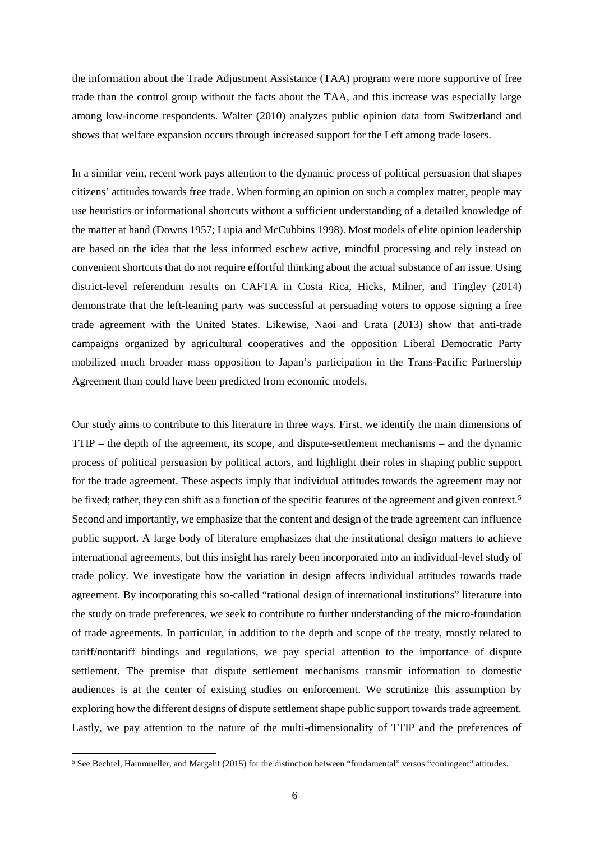the information about the Trade Adjustment Assistance (TAA) program were more supportive of free trade than the control group without the facts about the TAA, and this increase was especially large among low-income respondents. Walter (2010) analyzes public opinion data from Switzerland and shows that welfare expansion occurs through increased support for the Left among trade losers.

In a similar vein, recent work pays attention to the dynamic process of political persuasion that shapes citizens' attitudes towards free trade. When forming an opinion on such a complex matter, people may use heuristics or informational shortcuts without a sufficient understanding of a detailed knowledge of the matter at hand (Downs 1957; Lupia and McCubbins 1998). Most models of elite opinion leadership are based on the idea that the less informed eschew active, mindful processing and rely instead on convenient shortcuts that do not require effortful thinking about the actual substance of an issue. Using district-level referendum results on CAFTA in Costa Rica, Hicks, Milner, and Tingley (2014) demonstrate that the left-leaning party was successful at persuading voters to oppose signing a free trade agreement with the United States. Likewise, Naoi and Urata (2013) show that anti-trade campaigns organized by agricultural cooperatives and the opposition Liberal Democratic Party mobilized much broader mass opposition to Japan's participation in the Trans-Pacific Partnership Agreement than could have been predicted from economic models.

Our study aims to contribute to this literature in three ways. First, we identify the main dimensions of TTIP – the depth of the agreement, its scope, and dispute-settlement mechanisms – and the dynamic process of political persuasion by political actors, and highlight their roles in shaping public support for the trade agreement. These aspects imply that individual attitudes towards the agreement may not be fixed; rather, they can shift as a function of the specific features of the agreement and given context.<sup>[5](#page-5-0)</sup> Second and importantly, we emphasize that the content and design of the trade agreement can influence public support. A large body of literature emphasizes that the institutional design matters to achieve international agreements, but this insight has rarely been incorporated into an individual-level study of trade policy. We investigate how the variation in design affects individual attitudes towards trade agreement. By incorporating this so-called "rational design of international institutions" literature into the study on trade preferences, we seek to contribute to further understanding of the micro-foundation of trade agreements. In particular, in addition to the depth and scope of the treaty, mostly related to tariff/nontariff bindings and regulations, we pay special attention to the importance of dispute settlement. The premise that dispute settlement mechanisms transmit information to domestic audiences is at the center of existing studies on enforcement. We scrutinize this assumption by exploring how the different designs of dispute settlement shape public support towards trade agreement. Lastly, we pay attention to the nature of the multi-dimensionality of TTIP and the preferences of

 $\overline{\phantom{a}}$ 

<span id="page-5-0"></span><sup>5</sup> See Bechtel, Hainmueller, and Margalit (2015) for the distinction between "fundamental" versus "contingent" attitudes.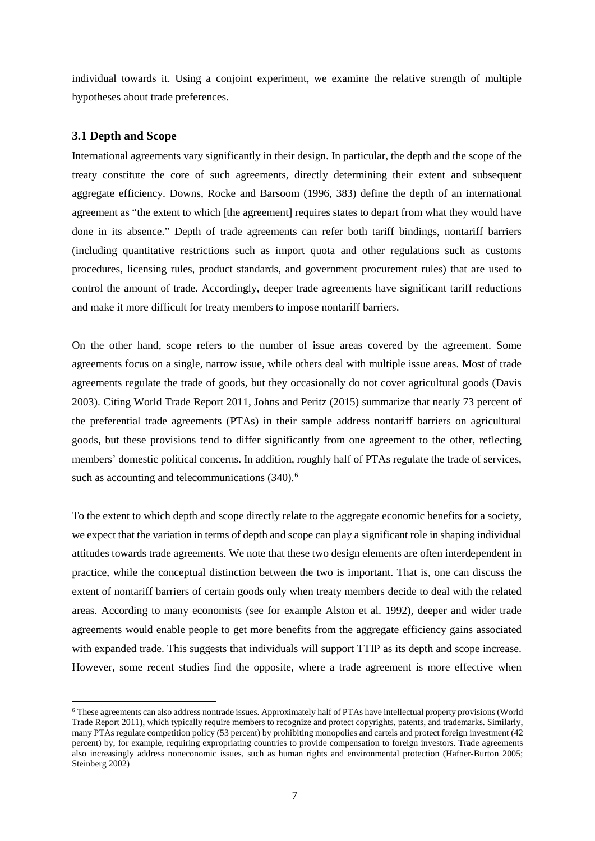individual towards it. Using a conjoint experiment, we examine the relative strength of multiple hypotheses about trade preferences.

#### **3.1 Depth and Scope**

1

International agreements vary significantly in their design. In particular, the depth and the scope of the treaty constitute the core of such agreements, directly determining their extent and subsequent aggregate efficiency. Downs, Rocke and Barsoom (1996, 383) define the depth of an international agreement as "the extent to which [the agreement] requires states to depart from what they would have done in its absence." Depth of trade agreements can refer both tariff bindings, nontariff barriers (including quantitative restrictions such as import quota and other regulations such as customs procedures, licensing rules, product standards, and government procurement rules) that are used to control the amount of trade. Accordingly, deeper trade agreements have significant tariff reductions and make it more difficult for treaty members to impose nontariff barriers.

On the other hand, scope refers to the number of issue areas covered by the agreement. Some agreements focus on a single, narrow issue, while others deal with multiple issue areas. Most of trade agreements regulate the trade of goods, but they occasionally do not cover agricultural goods (Davis 2003). Citing World Trade Report 2011, Johns and Peritz (2015) summarize that nearly 73 percent of the preferential trade agreements (PTAs) in their sample address nontariff barriers on agricultural goods, but these provisions tend to differ significantly from one agreement to the other, reflecting members' domestic political concerns. In addition, roughly half of PTAs regulate the trade of services, such as accounting and telecommunications (340).<sup>[6](#page-6-0)</sup>

To the extent to which depth and scope directly relate to the aggregate economic benefits for a society, we expect that the variation in terms of depth and scope can play a significant role in shaping individual attitudes towards trade agreements. We note that these two design elements are often interdependent in practice, while the conceptual distinction between the two is important. That is, one can discuss the extent of nontariff barriers of certain goods only when treaty members decide to deal with the related areas. According to many economists (see for example Alston et al. 1992), deeper and wider trade agreements would enable people to get more benefits from the aggregate efficiency gains associated with expanded trade. This suggests that individuals will support TTIP as its depth and scope increase. However, some recent studies find the opposite, where a trade agreement is more effective when

<span id="page-6-0"></span><sup>6</sup> These agreements can also address nontrade issues. Approximately half of PTAs have intellectual property provisions (World Trade Report 2011), which typically require members to recognize and protect copyrights, patents, and trademarks. Similarly, many PTAs regulate competition policy (53 percent) by prohibiting monopolies and cartels and protect foreign investment (42 percent) by, for example, requiring expropriating countries to provide compensation to foreign investors. Trade agreements also increasingly address noneconomic issues, such as human rights and environmental protection (Hafner-Burton 2005; Steinberg 2002)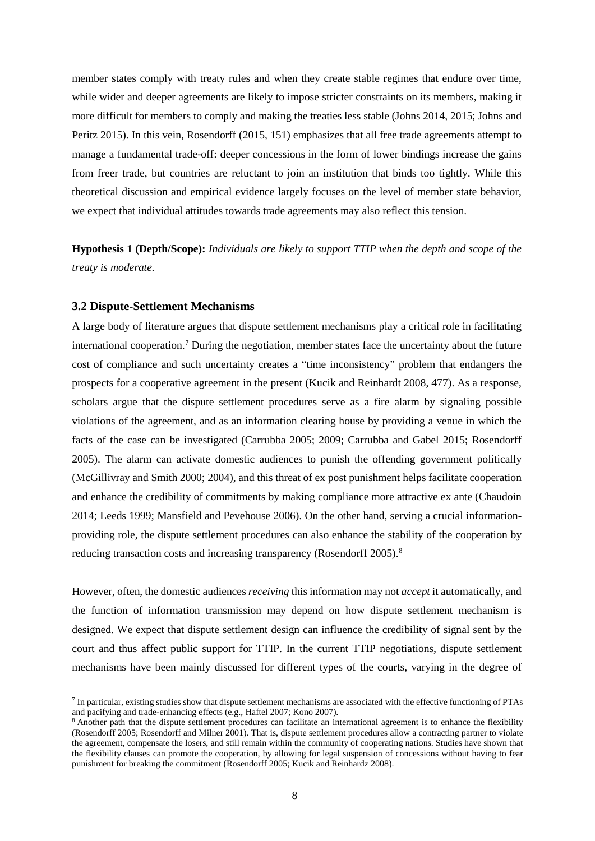member states comply with treaty rules and when they create stable regimes that endure over time, while wider and deeper agreements are likely to impose stricter constraints on its members, making it more difficult for members to comply and making the treaties less stable (Johns 2014, 2015; Johns and Peritz 2015). In this vein, Rosendorff (2015, 151) emphasizes that all free trade agreements attempt to manage a fundamental trade-off: deeper concessions in the form of lower bindings increase the gains from freer trade, but countries are reluctant to join an institution that binds too tightly. While this theoretical discussion and empirical evidence largely focuses on the level of member state behavior, we expect that individual attitudes towards trade agreements may also reflect this tension.

**Hypothesis 1 (Depth/Scope):** *Individuals are likely to support TTIP when the depth and scope of the treaty is moderate.* 

#### **3.2 Dispute-Settlement Mechanisms**

**.** 

A large body of literature argues that dispute settlement mechanisms play a critical role in facilitating international cooperation.[7](#page-7-0) During the negotiation, member states face the uncertainty about the future cost of compliance and such uncertainty creates a "time inconsistency" problem that endangers the prospects for a cooperative agreement in the present (Kucik and Reinhardt 2008, 477). As a response, scholars argue that the dispute settlement procedures serve as a fire alarm by signaling possible violations of the agreement, and as an information clearing house by providing a venue in which the facts of the case can be investigated (Carrubba 2005; 2009; Carrubba and Gabel 2015; Rosendorff 2005). The alarm can activate domestic audiences to punish the offending government politically (McGillivray and Smith 2000; 2004), and this threat of ex post punishment helps facilitate cooperation and enhance the credibility of commitments by making compliance more attractive ex ante (Chaudoin 2014; Leeds 1999; Mansfield and Pevehouse 2006). On the other hand, serving a crucial informationproviding role, the dispute settlement procedures can also enhance the stability of the cooperation by reducing transaction costs and increasing transparency (Rosendorff 2005).<sup>8</sup>

However, often, the domestic audiences *receiving* this information may not *accept* it automatically, and the function of information transmission may depend on how dispute settlement mechanism is designed. We expect that dispute settlement design can influence the credibility of signal sent by the court and thus affect public support for TTIP. In the current TTIP negotiations, dispute settlement mechanisms have been mainly discussed for different types of the courts, varying in the degree of

<span id="page-7-0"></span><sup>7</sup> In particular, existing studies show that dispute settlement mechanisms are associated with the effective functioning of PTAs and pacifying and trade-enhancing effects (e.g., Haftel 2007; Kono 2007).

<span id="page-7-1"></span><sup>&</sup>lt;sup>8</sup> Another path that the dispute settlement procedures can facilitate an international agreement is to enhance the flexibility (Rosendorff 2005; Rosendorff and Milner 2001). That is, dispute settlement procedures allow a contracting partner to violate the agreement, compensate the losers, and still remain within the community of cooperating nations. Studies have shown that the flexibility clauses can promote the cooperation, by allowing for legal suspension of concessions without having to fear punishment for breaking the commitment (Rosendorff 2005; Kucik and Reinhardz 2008).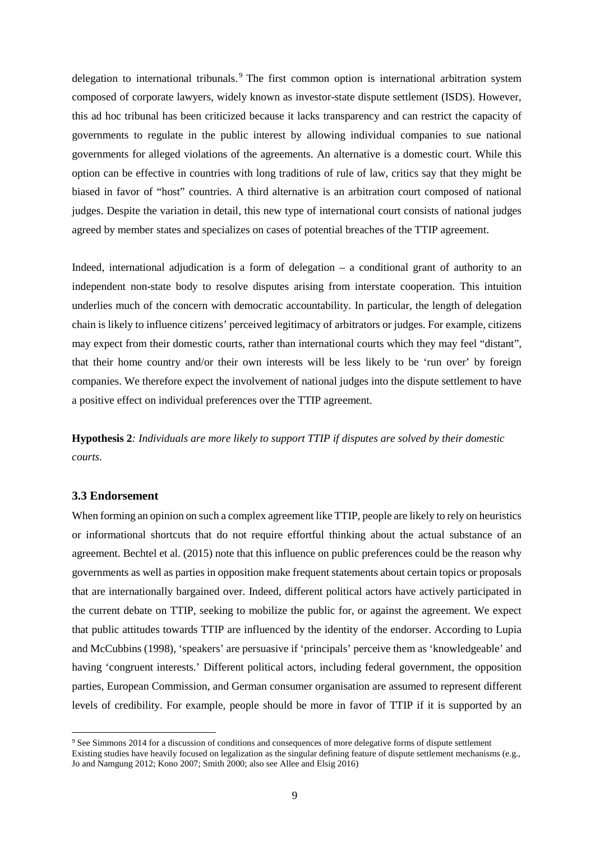delegation to international tribunals.<sup>[9](#page-8-0)</sup> The first common option is international arbitration system composed of corporate lawyers, widely known as investor-state dispute settlement (ISDS). However, this ad hoc tribunal has been criticized because it lacks transparency and can restrict the capacity of governments to regulate in the public interest by allowing individual companies to sue national governments for alleged violations of the agreements. An alternative is a domestic court. While this option can be effective in countries with long traditions of rule of law, critics say that they might be biased in favor of "host" countries. A third alternative is an arbitration court composed of national judges. Despite the variation in detail, this new type of international court consists of national judges agreed by member states and specializes on cases of potential breaches of the TTIP agreement.

Indeed, international adjudication is a form of delegation  $-$  a conditional grant of authority to an independent non-state body to resolve disputes arising from interstate cooperation. This intuition underlies much of the concern with democratic accountability. In particular, the length of delegation chain is likely to influence citizens' perceived legitimacy of arbitrators or judges. For example, citizens may expect from their domestic courts, rather than international courts which they may feel "distant", that their home country and/or their own interests will be less likely to be 'run over' by foreign companies. We therefore expect the involvement of national judges into the dispute settlement to have a positive effect on individual preferences over the TTIP agreement.

**Hypothesis 2***: Individuals are more likely to support TTIP if disputes are solved by their domestic courts.*

### **3.3 Endorsement**

**.** 

When forming an opinion on such a complex agreement like TTIP, people are likely to rely on heuristics or informational shortcuts that do not require effortful thinking about the actual substance of an agreement. Bechtel et al. (2015) note that this influence on public preferences could be the reason why governments as well as parties in opposition make frequent statements about certain topics or proposals that are internationally bargained over. Indeed, different political actors have actively participated in the current debate on TTIP, seeking to mobilize the public for, or against the agreement. We expect that public attitudes towards TTIP are influenced by the identity of the endorser. According to Lupia and McCubbins (1998), 'speakers' are persuasive if 'principals' perceive them as 'knowledgeable' and having 'congruent interests.' Different political actors, including federal government, the opposition parties, European Commission, and German consumer organisation are assumed to represent different levels of credibility. For example, people should be more in favor of TTIP if it is supported by an

<span id="page-8-0"></span><sup>9</sup> See Simmons 2014 for a discussion of conditions and consequences of more delegative forms of dispute settlement Existing studies have heavily focused on legalization as the singular defining feature of dispute settlement mechanisms (e.g., Jo and Namgung 2012; Kono 2007; Smith 2000; also see Allee and Elsig 2016)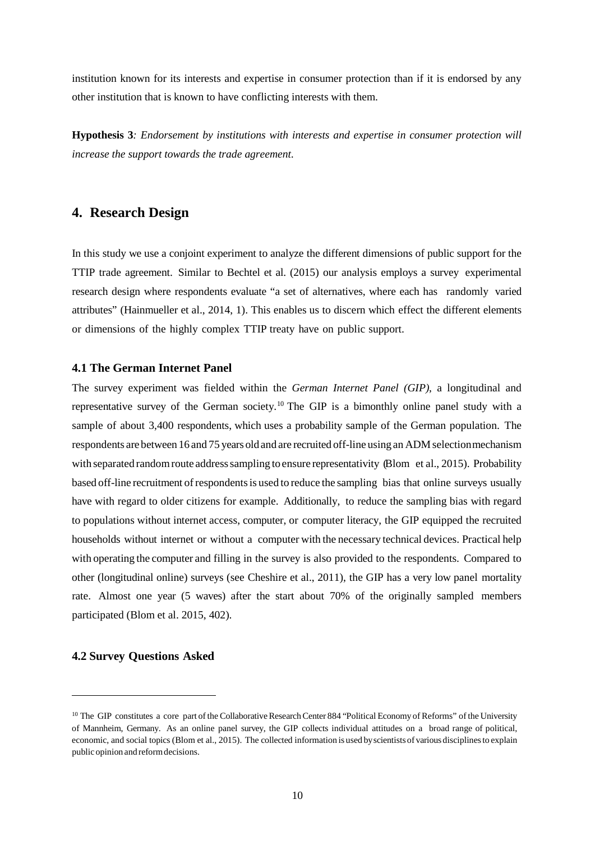institution known for its interests and expertise in consumer protection than if it is endorsed by any other institution that is known to have conflicting interests with them.

**Hypothesis 3***: Endorsement by institutions with interests and expertise in consumer protection will increase the support towards the trade agreement.*

# **4. Research Design**

In this study we use a conjoint experiment to analyze the different dimensions of public support for the TTIP trade agreement. Similar to Bechtel et al. (2015) our analysis employs a survey experimental research design where respondents evaluate "a set of alternatives, where each has randomly varied attributes" [\(Hainmueller](#page-23-0) et al., [2014,](#page-23-0) 1). This enables us to discern which effect the different elements or dimensions of the highly complex TTIP treaty have on public support.

# **4.1 The German Internet Panel**

The survey experiment was fielded within the *German Internet Panel (GIP)*, a longitudinal and representative survey of the German society.<sup>[10](#page-9-0)</sup> The GIP is a bimonthly online panel study with a sample of about 3,400 respondents, which uses a probability sample of the German population. The respondents are between 16 and 75 years old and are recruited of f-line using an ADM selection mechanism with separated random route address sampling to ensure representativity [\(Blom](#page-22-1) et [al.,](#page-22-1) [2015\)](#page-22-1). Probability based off-line recruitment ofrespondentsis used to reduce the sampling bias that online surveys usually have with regard to older citizens for example. Additionally, to reduce the sampling bias with regard to populations without internet access, computer, or computer literacy, the GIP equipped the recruited households without internet or without a computer with the necessary technical devices. Practical help with operating the computer and filling in the survey is also provided to the respondents. Compared to other (longitudinal online) surveys (see [Cheshire](#page-23-1) et al., [2011\)](#page-23-1), the GIP has a very low panel mortality rate. Almost one year (5 waves) after the start about 70% of the originally sampled members participated [\(Blom](#page-22-1) et al. [2015,](#page-22-1) 402).

### **4.2 Survey Questions Asked**

**.** 

<span id="page-9-0"></span><sup>&</sup>lt;sup>10</sup> The GIP constitutes a core part of the Collaborative Research Center 884 "Political Economy of Reforms" of the University of Mannheim, Germany. As an online panel survey, the GIP collects individual attitudes on a broad range of political, economic, and social topics [\(Blom](#page-22-1) et al., [2015\)](#page-22-1). The collected information is used byscientists of various disciplinesto explain public opinion and reformdecisions.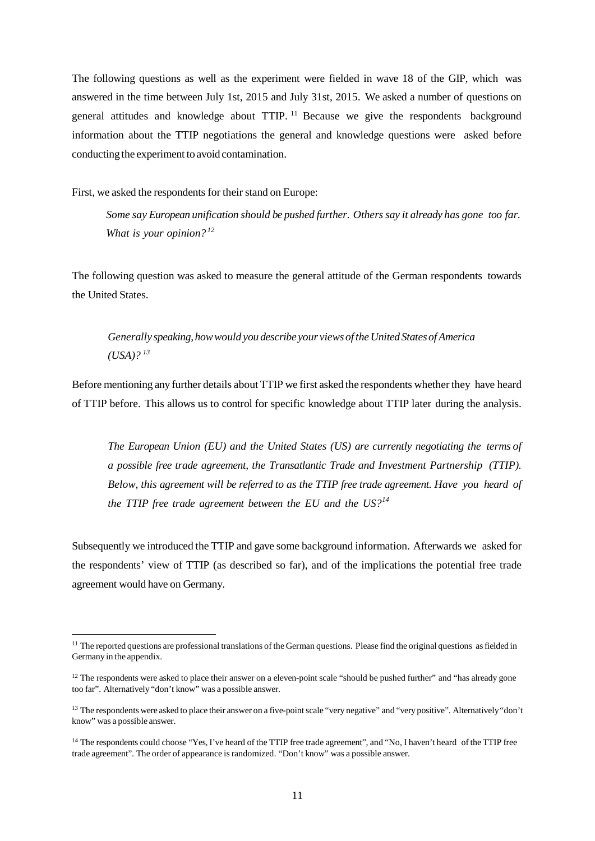The following questions as well as the experiment were fielded in wave 18 of the GIP, which was answered in the time between July 1st, 2015 and July 31st, 2015. We asked a number of questions on general attitudes and knowledge about TTIP. [11](#page-10-0) Because we give the respondents background information about the TTIP negotiations the general and knowledge questions were asked before conducting the experiment to avoid contamination.

First, we asked the respondents for their stand on Europe:

**.** 

*Some say European unification should be pushed further. Others say it already has gone too far. What is your opinion?[12](#page-10-1)*

The following question was asked to measure the general attitude of the German respondents towards the United States.

*Generally speaking,howwould you describe your views of theUnited StatesofAmerica (USA)? [13](#page-10-2)*

Before mentioning any further details about TTIP we first asked the respondents whether they have heard of TTIP before. This allows us to control for specific knowledge about TTIP later during the analysis.

*The European Union (EU) and the United States (US) are currently negotiating the terms of a possible free trade agreement, the Transatlantic Trade and Investment Partnership (TTIP). Below, this agreement will be referred to as the TTIP free trade agreement. Have you heard of the TTIP free trade agreement between the EU and the US?[14](#page-10-3)*

Subsequently we introduced the TTIP and gave some background information. Afterwards we asked for the respondents' view of TTIP (as described so far), and of the implications the potential free trade agreement would have on Germany.

<span id="page-10-0"></span> $11$  The reported questions are professional translations of the German questions. Please find the original questions as fielded in Germany in the appendix.

<span id="page-10-1"></span><sup>&</sup>lt;sup>12</sup> The respondents were asked to place their answer on a eleven-point scale "should be pushed further" and "has already gone too far". Alternatively "don't know" was a possible answer.

<span id="page-10-2"></span><sup>&</sup>lt;sup>13</sup> The respondents were asked to place their answer on a five-point scale "very negative" and "very positive". Alternatively "don't know" was a possible answer.

<span id="page-10-3"></span><sup>&</sup>lt;sup>14</sup> The respondents could choose "Yes, I've heard of the TTIP free trade agreement", and "No, I haven't heard of the TTIP free trade agreement". The order of appearance israndomized. "Don't know" was a possible answer.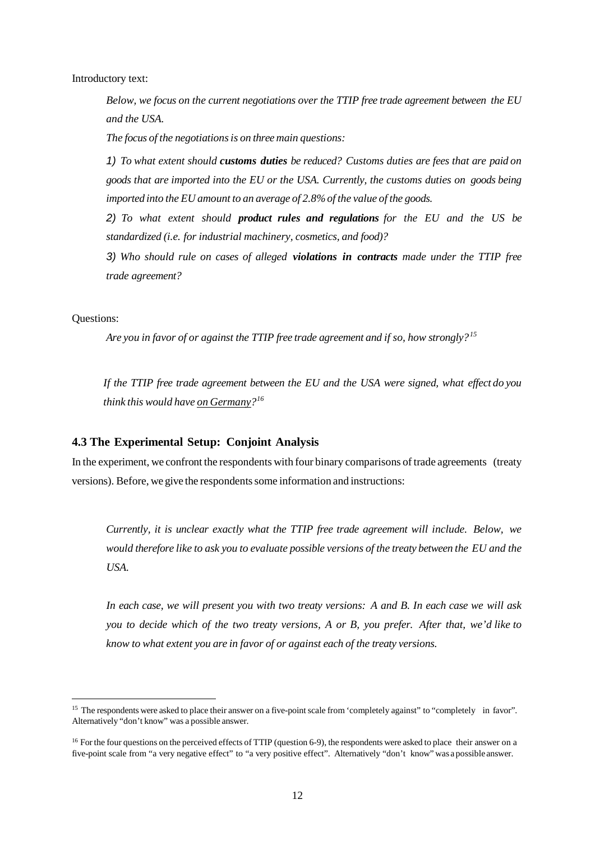Introductory text:

*Below, we focus on the current negotiations over the TTIP free trade agreement between the EU and the USA.*

*The focus of the negotiationsis on three main questions:*

*1) To what extent should customs duties be reduced? Customs duties are fees that are paid on goods that are imported into the EU or the USA. Currently, the customs duties on goods being imported into the EU amount to an average of 2.8%of the value of the goods.*

*2) To what extent should product rules and regulations for the EU and the US be standardized (i.e. for industrial machinery, cosmetics, and food)?*

*3) Who should rule on cases of alleged violations in contracts made under the TTIP free trade agreement?*

Questions:

 $\overline{\phantom{a}}$ 

*Are you in favor of or against the TTIP free trade agreement and if so, how strongly?[15](#page-11-0)*

*If the TTIP free trade agreement between the EU and the USA were signed, what effect do you think this would have on Germany?[16](#page-11-1)*

## **4.3 The Experimental Setup: Conjoint Analysis**

In the experiment, we confront the respondents with four binary comparisons of trade agreements (treaty versions). Before, we give the respondents some information and instructions:

*Currently, it is unclear exactly what the TTIP free trade agreement will include. Below, we would therefore like to ask you to evaluate possible versions of the treaty between the EU and the USA.*

In each case, we will present you with two treaty versions: A and B. In each case we will ask *you to decide which of the two treaty versions, A or B, you prefer. After that, we'd like to know to what extent you are in favor of or against each of the treaty versions.*

<span id="page-11-0"></span><sup>&</sup>lt;sup>15</sup> The respondents were asked to place their answer on a five-point scale from 'completely against'' to "completely in favor". Alternatively "don't know" was a possible answer.

<span id="page-11-1"></span><sup>&</sup>lt;sup>16</sup> For the four questions on the perceived effects of TTIP (question 6-9), the respondents were asked to place their answer on a five-point scale from "a very negative effect" to "a very positive effect". Alternatively "don't know" was a possible answer.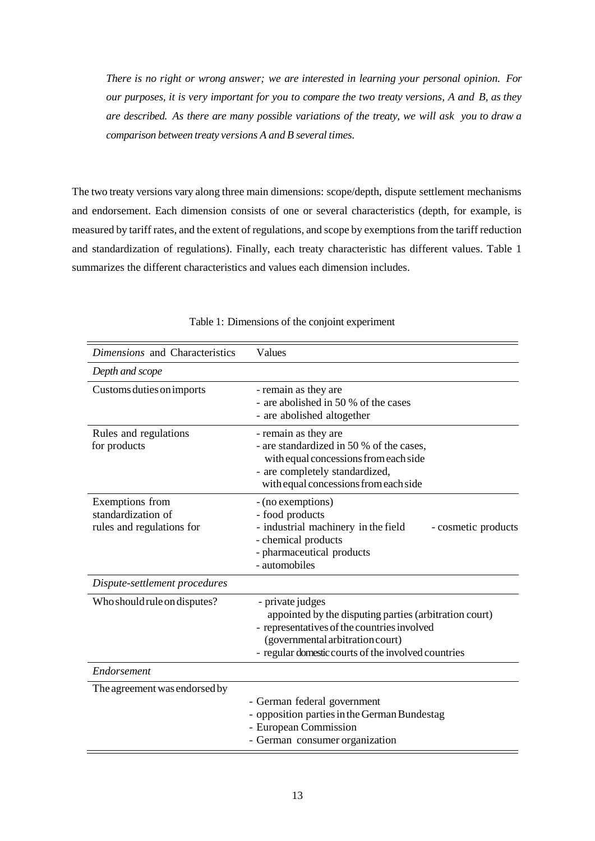*There is no right or wrong answer; we are interested in learning your personal opinion. For our purposes, it is very important for you to compare the two treaty versions, A and B, as they are described. As there are many possible variations of the treaty, we will ask you to draw a comparison between treaty versions A and B several times.*

The two treaty versions vary along three main dimensions: scope/depth, dispute settlement mechanisms and endorsement. Each dimension consists of one or several characteristics (depth, for example, is measured by tariff rates, and the extent of regulations, and scope by exemptions from the tariff reduction and standardization of regulations). Finally, each treaty characteristic has different values. Table 1 summarizes the different characteristics and values each dimension includes.

| Dimensions and Characteristics                                     | Values                                                                                                                                                                                                               |
|--------------------------------------------------------------------|----------------------------------------------------------------------------------------------------------------------------------------------------------------------------------------------------------------------|
| Depth and scope                                                    |                                                                                                                                                                                                                      |
| Customs duties on imports                                          | - remain as they are<br>- are abolished in 50 % of the cases<br>- are abolished altogether                                                                                                                           |
| Rules and regulations<br>for products                              | - remain as they are<br>- are standardized in 50 % of the cases,<br>with equal concessions from each side<br>- are completely standardized,<br>with equal concessions from each side                                 |
| Exemptions from<br>standardization of<br>rules and regulations for | - (no exemptions)<br>- food products<br>- industrial machinery in the field<br>- cosmetic products<br>- chemical products<br>- pharmaceutical products<br>- automobiles                                              |
| Dispute-settlement procedures                                      |                                                                                                                                                                                                                      |
| Who should rule on disputes?                                       | - private judges<br>appointed by the disputing parties (arbitration court)<br>- representatives of the countries involved<br>(governmental arbitration court)<br>- regular domestic courts of the involved countries |
| Endorsement                                                        |                                                                                                                                                                                                                      |
| The agreement was endorsed by                                      | - German federal government<br>- opposition parties in the German Bundestag<br>- European Commission<br>- German consumer organization                                                                               |

Table 1: Dimensions of the conjoint experiment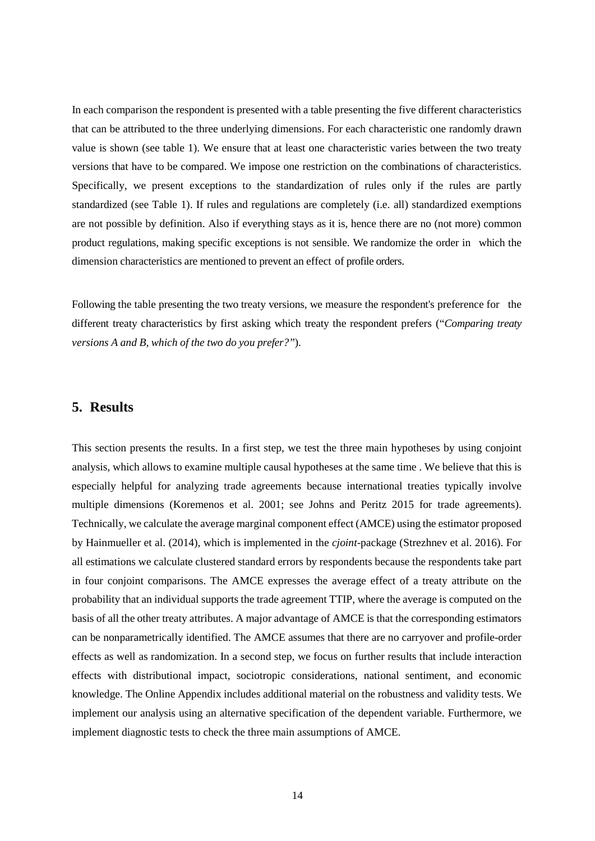In each comparison the respondent is presented with a table presenting the five different characteristics that can be attributed to the three underlying dimensions. For each characteristic one randomly drawn value is shown (see table 1). We ensure that at least one characteristic varies between the two treaty versions that have to be compared. We impose one restriction on the combinations of characteristics. Specifically, we present exceptions to the standardization of rules only if the rules are partly standardized (see Table 1). If rules and regulations are completely (i.e. all) standardized exemptions are not possible by definition. Also if everything stays as it is, hence there are no (not more) common product regulations, making specific exceptions is not sensible. We randomize the order in which the dimension characteristics are mentioned to prevent an effect of profile orders.

Following the table presenting the two treaty versions, we measure the respondent's preference for the different treaty characteristics by first asking which treaty the respondent prefers ("*Comparing treaty versions A and B, which of the two do you prefer?"*).

# **5. Results**

This section presents the results. In a first step, we test the three main hypotheses by using conjoint analysis, which allows to examine multiple causal hypotheses at the same time . We believe that this is especially helpful for analyzing trade agreements because international treaties typically involve multiple dimensions (Koremenos et al. 2001; see Johns and Peritz 2015 for trade agreements). Technically, we calculate the average marginal component effect (AMCE) using the estimator proposed by Hainmueller et al. (2014), which is implemented in the *cjoint*-package (Strezhnev et al. 2016). For all estimations we calculate clustered standard errors by respondents because the respondents take part in four conjoint comparisons. The AMCE expresses the average effect of a treaty attribute on the probability that an individual supports the trade agreement TTIP, where the average is computed on the basis of all the other treaty attributes. A major advantage of AMCE is that the corresponding estimators can be nonparametrically identified. The AMCE assumes that there are no carryover and profile-order effects as well as randomization. In a second step, we focus on further results that include interaction effects with distributional impact, sociotropic considerations, national sentiment, and economic knowledge. The Online Appendix includes additional material on the robustness and validity tests. We implement our analysis using an alternative specification of the dependent variable. Furthermore, we implement diagnostic tests to check the three main assumptions of AMCE.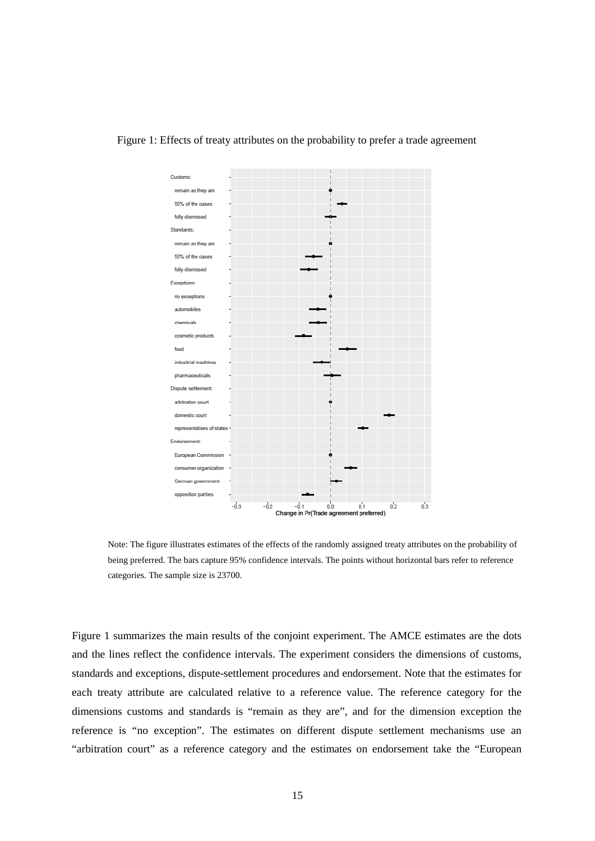

#### Figure 1: Effects of treaty attributes on the probability to prefer a trade agreement

Note: The figure illustrates estimates of the effects of the randomly assigned treaty attributes on the probability of being preferred. The bars capture 95% confidence intervals. The points without horizontal bars refer to reference categories. The sample size is 23700.

Figure 1 summarizes the main results of the conjoint experiment. The AMCE estimates are the dots and the lines reflect the confidence intervals. The experiment considers the dimensions of customs, standards and exceptions, dispute-settlement procedures and endorsement. Note that the estimates for each treaty attribute are calculated relative to a reference value. The reference category for the dimensions customs and standards is "remain as they are", and for the dimension exception the reference is "no exception". The estimates on different dispute settlement mechanisms use an "arbitration court" as a reference category and the estimates on endorsement take the "European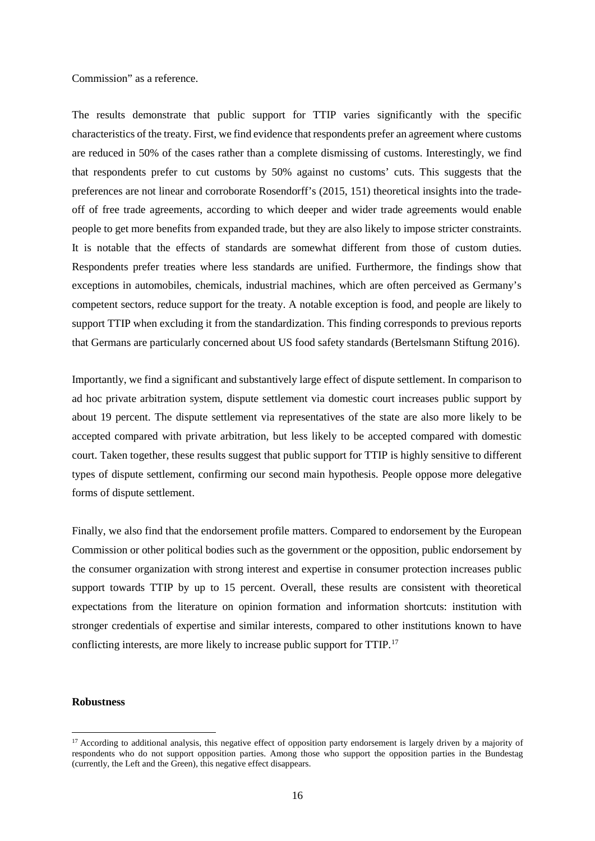Commission" as a reference.

The results demonstrate that public support for TTIP varies significantly with the specific characteristics of the treaty. First, we find evidence that respondents prefer an agreement where customs are reduced in 50% of the cases rather than a complete dismissing of customs. Interestingly, we find that respondents prefer to cut customs by 50% against no customs' cuts. This suggests that the preferences are not linear and corroborate Rosendorff's (2015, 151) theoretical insights into the tradeoff of free trade agreements, according to which deeper and wider trade agreements would enable people to get more benefits from expanded trade, but they are also likely to impose stricter constraints. It is notable that the effects of standards are somewhat different from those of custom duties. Respondents prefer treaties where less standards are unified. Furthermore, the findings show that exceptions in automobiles, chemicals, industrial machines, which are often perceived as Germany's competent sectors, reduce support for the treaty. A notable exception is food, and people are likely to support TTIP when excluding it from the standardization. This finding corresponds to previous reports that Germans are particularly concerned about US food safety standards (Bertelsmann Stiftung 2016).

Importantly, we find a significant and substantively large effect of dispute settlement. In comparison to ad hoc private arbitration system, dispute settlement via domestic court increases public support by about 19 percent. The dispute settlement via representatives of the state are also more likely to be accepted compared with private arbitration, but less likely to be accepted compared with domestic court. Taken together, these results suggest that public support for TTIP is highly sensitive to different types of dispute settlement, confirming our second main hypothesis. People oppose more delegative forms of dispute settlement.

Finally, we also find that the endorsement profile matters. Compared to endorsement by the European Commission or other political bodies such as the government or the opposition, public endorsement by the consumer organization with strong interest and expertise in consumer protection increases public support towards TTIP by up to 15 percent. Overall, these results are consistent with theoretical expectations from the literature on opinion formation and information shortcuts: institution with stronger credentials of expertise and similar interests, compared to other institutions known to have conflicting interests, are more likely to increase public support for TTIP.[17](#page-15-0)

#### **Robustness**

**.** 

<span id="page-15-0"></span> $17$  According to additional analysis, this negative effect of opposition party endorsement is largely driven by a majority of respondents who do not support opposition parties. Among those who support the opposition parties in the Bundestag (currently, the Left and the Green), this negative effect disappears.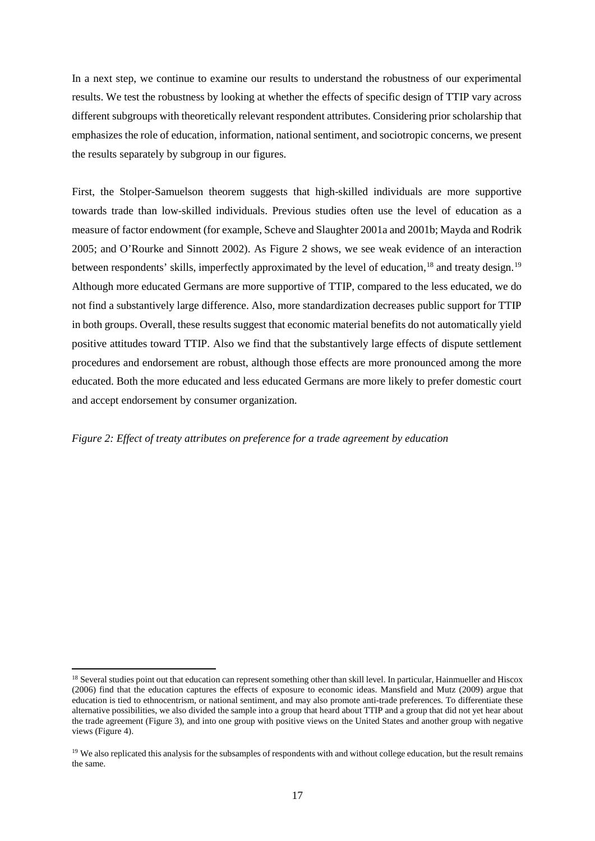In a next step, we continue to examine our results to understand the robustness of our experimental results. We test the robustness by looking at whether the effects of specific design of TTIP vary across different subgroups with theoretically relevant respondent attributes. Considering prior scholarship that emphasizes the role of education, information, national sentiment, and sociotropic concerns, we present the results separately by subgroup in our figures.

First, the Stolper-Samuelson theorem suggests that high-skilled individuals are more supportive towards trade than low-skilled individuals. Previous studies often use the level of education as a measure of factor endowment (for example, Scheve and Slaughter 2001a and 2001b; Mayda and Rodrik 2005; and O'Rourke and Sinnott 2002). As Figure 2 shows, we see weak evidence of an interaction between respondents' skills, imperfectly approximated by the level of education,<sup>[18](#page-16-0)</sup> and treaty design.<sup>[19](#page-16-1)</sup> Although more educated Germans are more supportive of TTIP, compared to the less educated, we do not find a substantively large difference. Also, more standardization decreases public support for TTIP in both groups. Overall, these results suggest that economic material benefits do not automatically yield positive attitudes toward TTIP. Also we find that the substantively large effects of dispute settlement procedures and endorsement are robust, although those effects are more pronounced among the more educated. Both the more educated and less educated Germans are more likely to prefer domestic court and accept endorsement by consumer organization.

#### *Figure 2: Effect of treaty attributes on preference for a trade agreement by education*

1

<span id="page-16-0"></span><sup>&</sup>lt;sup>18</sup> Several studies point out that education can represent something other than skill level. In particular, Hainmueller and Hiscox (2006) find that the education captures the effects of exposure to economic ideas. Mansfield and Mutz (2009) argue that education is tied to ethnocentrism, or national sentiment, and may also promote anti-trade preferences. To differentiate these alternative possibilities, we also divided the sample into a group that heard about TTIP and a group that did not yet hear about the trade agreement (Figure 3), and into one group with positive views on the United States and another group with negative views (Figure 4).

<span id="page-16-1"></span><sup>&</sup>lt;sup>19</sup> We also replicated this analysis for the subsamples of respondents with and without college education, but the result remains the same.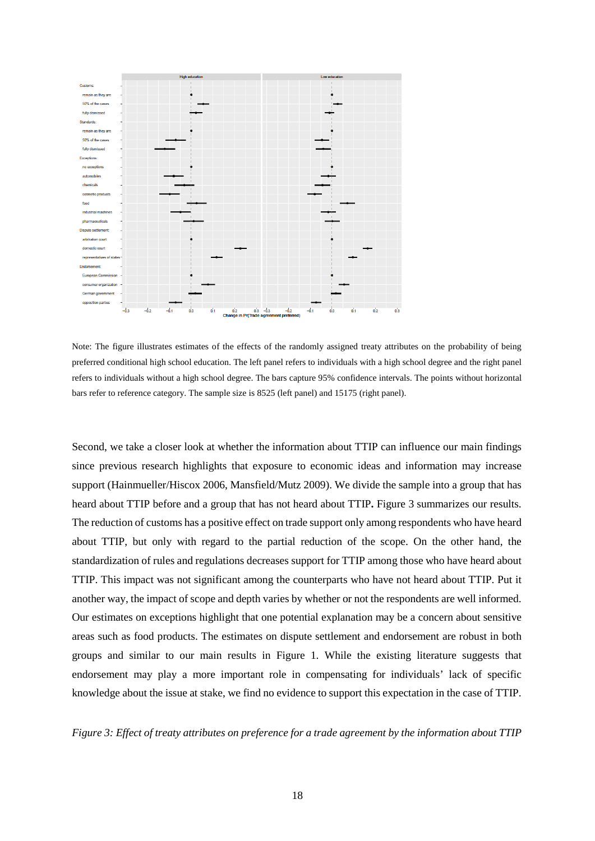

Note: The figure illustrates estimates of the effects of the randomly assigned treaty attributes on the probability of being preferred conditional high school education. The left panel refers to individuals with a high school degree and the right panel refers to individuals without a high school degree. The bars capture 95% confidence intervals. The points without horizontal bars refer to reference category. The sample size is 8525 (left panel) and 15175 (right panel).

Second, we take a closer look at whether the information about TTIP can influence our main findings since previous research highlights that exposure to economic ideas and information may increase support (Hainmueller/Hiscox 2006, Mansfield/Mutz 2009). We divide the sample into a group that has heard about TTIP before and a group that has not heard about TTIP**.** Figure 3 summarizes our results. The reduction of customs has a positive effect on trade support only among respondents who have heard about TTIP, but only with regard to the partial reduction of the scope. On the other hand, the standardization of rules and regulations decreases support for TTIP among those who have heard about TTIP. This impact was not significant among the counterparts who have not heard about TTIP. Put it another way, the impact of scope and depth varies by whether or not the respondents are well informed. Our estimates on exceptions highlight that one potential explanation may be a concern about sensitive areas such as food products. The estimates on dispute settlement and endorsement are robust in both groups and similar to our main results in Figure 1. While the existing literature suggests that endorsement may play a more important role in compensating for individuals' lack of specific knowledge about the issue at stake, we find no evidence to support this expectation in the case of TTIP.

*Figure 3: Effect of treaty attributes on preference for a trade agreement by the information about TTIP*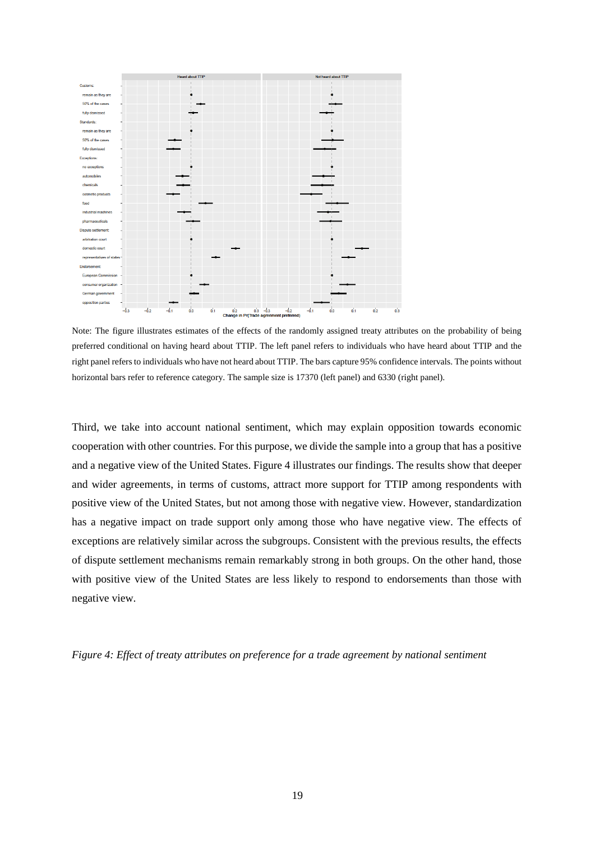

Note: The figure illustrates estimates of the effects of the randomly assigned treaty attributes on the probability of being preferred conditional on having heard about TTIP. The left panel refers to individuals who have heard about TTIP and the right panel refers to individuals who have not heard about TTIP. The bars capture 95% confidence intervals. The points without horizontal bars refer to reference category. The sample size is 17370 (left panel) and 6330 (right panel).

Third, we take into account national sentiment, which may explain opposition towards economic cooperation with other countries. For this purpose, we divide the sample into a group that has a positive and a negative view of the United States. Figure 4 illustrates our findings. The results show that deeper and wider agreements, in terms of customs, attract more support for TTIP among respondents with positive view of the United States, but not among those with negative view. However, standardization has a negative impact on trade support only among those who have negative view. The effects of exceptions are relatively similar across the subgroups. Consistent with the previous results, the effects of dispute settlement mechanisms remain remarkably strong in both groups. On the other hand, those with positive view of the United States are less likely to respond to endorsements than those with negative view.

*Figure 4: Effect of treaty attributes on preference for a trade agreement by national sentiment*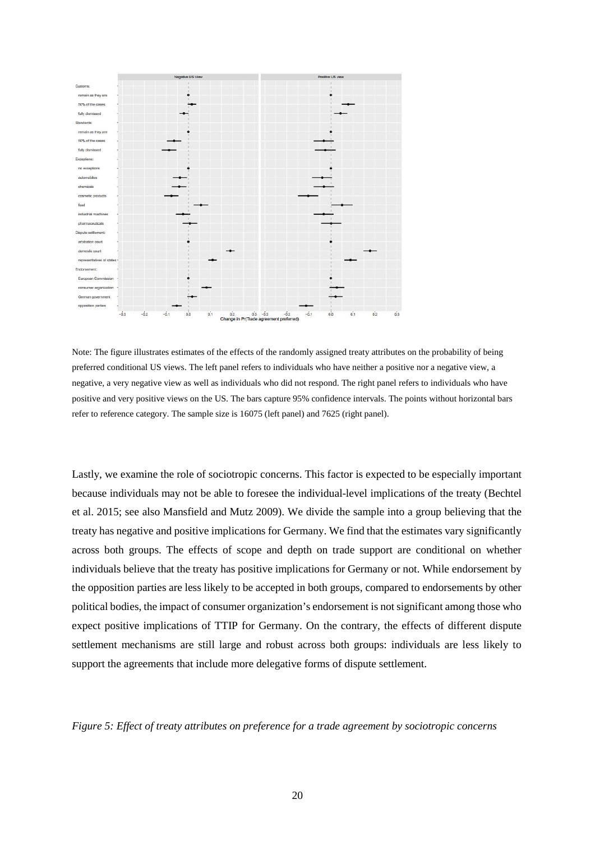

Note: The figure illustrates estimates of the effects of the randomly assigned treaty attributes on the probability of being preferred conditional US views. The left panel refers to individuals who have neither a positive nor a negative view, a negative, a very negative view as well as individuals who did not respond. The right panel refers to individuals who have positive and very positive views on the US. The bars capture 95% confidence intervals. The points without horizontal bars refer to reference category. The sample size is 16075 (left panel) and 7625 (right panel).

Lastly, we examine the role of sociotropic concerns. This factor is expected to be especially important because individuals may not be able to foresee the individual-level implications of the treaty (Bechtel et al. 2015; see also Mansfield and Mutz 2009). We divide the sample into a group believing that the treaty has negative and positive implications for Germany. We find that the estimates vary significantly across both groups. The effects of scope and depth on trade support are conditional on whether individuals believe that the treaty has positive implications for Germany or not. While endorsement by the opposition parties are less likely to be accepted in both groups, compared to endorsements by other political bodies, the impact of consumer organization's endorsement is not significant among those who expect positive implications of TTIP for Germany. On the contrary, the effects of different dispute settlement mechanisms are still large and robust across both groups: individuals are less likely to support the agreements that include more delegative forms of dispute settlement.

*Figure 5: Effect of treaty attributes on preference for a trade agreement by sociotropic concerns*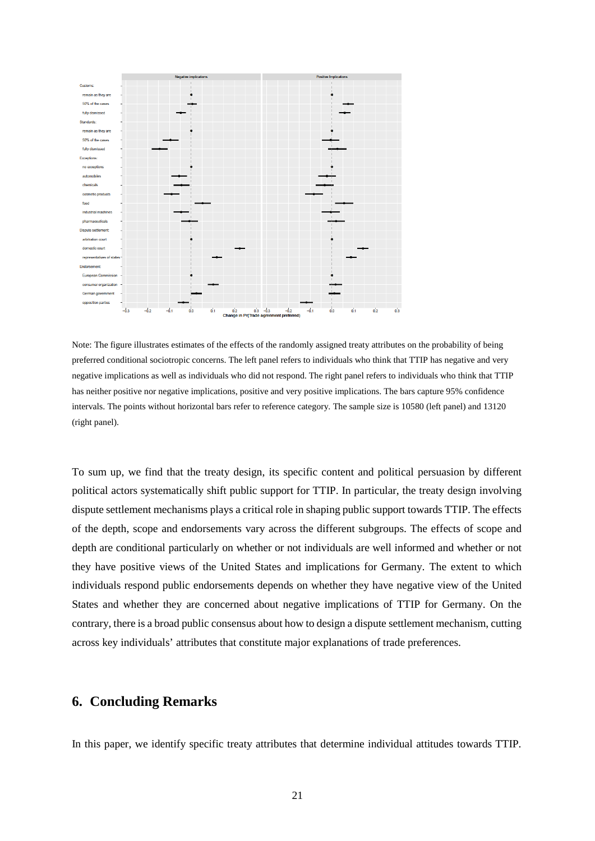

Note: The figure illustrates estimates of the effects of the randomly assigned treaty attributes on the probability of being preferred conditional sociotropic concerns. The left panel refers to individuals who think that TTIP has negative and very negative implications as well as individuals who did not respond. The right panel refers to individuals who think that TTIP has neither positive nor negative implications, positive and very positive implications. The bars capture 95% confidence intervals. The points without horizontal bars refer to reference category. The sample size is 10580 (left panel) and 13120 (right panel).

To sum up, we find that the treaty design, its specific content and political persuasion by different political actors systematically shift public support for TTIP. In particular, the treaty design involving dispute settlement mechanisms plays a critical role in shaping public support towards TTIP. The effects of the depth, scope and endorsements vary across the different subgroups. The effects of scope and depth are conditional particularly on whether or not individuals are well informed and whether or not they have positive views of the United States and implications for Germany. The extent to which individuals respond public endorsements depends on whether they have negative view of the United States and whether they are concerned about negative implications of TTIP for Germany. On the contrary, there is a broad public consensus about how to design a dispute settlement mechanism, cutting across key individuals' attributes that constitute major explanations of trade preferences.

# **6. Concluding Remarks**

In this paper, we identify specific treaty attributes that determine individual attitudes towards TTIP.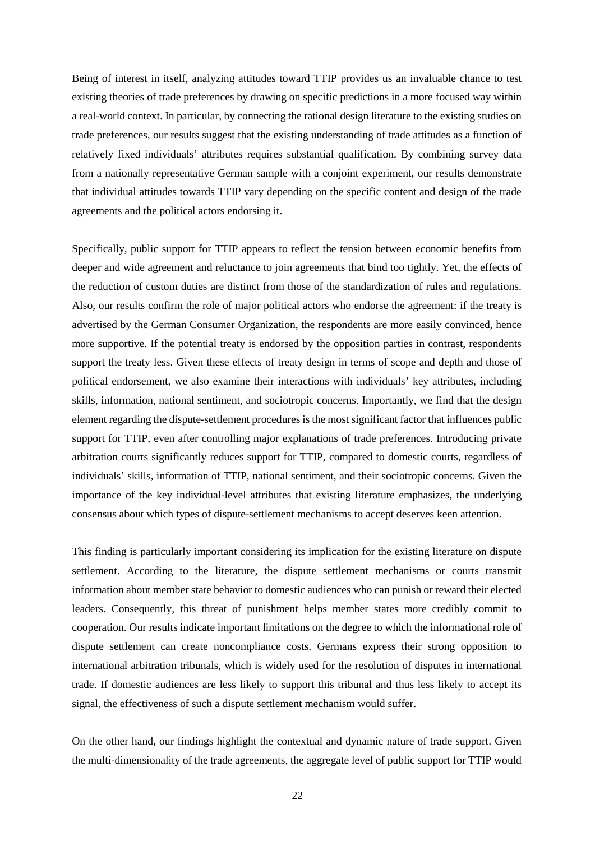Being of interest in itself, analyzing attitudes toward TTIP provides us an invaluable chance to test existing theories of trade preferences by drawing on specific predictions in a more focused way within a real-world context. In particular, by connecting the rational design literature to the existing studies on trade preferences, our results suggest that the existing understanding of trade attitudes as a function of relatively fixed individuals' attributes requires substantial qualification. By combining survey data from a nationally representative German sample with a conjoint experiment, our results demonstrate that individual attitudes towards TTIP vary depending on the specific content and design of the trade agreements and the political actors endorsing it.

Specifically, public support for TTIP appears to reflect the tension between economic benefits from deeper and wide agreement and reluctance to join agreements that bind too tightly. Yet, the effects of the reduction of custom duties are distinct from those of the standardization of rules and regulations. Also, our results confirm the role of major political actors who endorse the agreement: if the treaty is advertised by the German Consumer Organization, the respondents are more easily convinced, hence more supportive. If the potential treaty is endorsed by the opposition parties in contrast, respondents support the treaty less. Given these effects of treaty design in terms of scope and depth and those of political endorsement, we also examine their interactions with individuals' key attributes, including skills, information, national sentiment, and sociotropic concerns. Importantly, we find that the design element regarding the dispute-settlement procedures is the most significant factor that influences public support for TTIP, even after controlling major explanations of trade preferences. Introducing private arbitration courts significantly reduces support for TTIP, compared to domestic courts, regardless of individuals' skills, information of TTIP, national sentiment, and their sociotropic concerns. Given the importance of the key individual-level attributes that existing literature emphasizes, the underlying consensus about which types of dispute-settlement mechanisms to accept deserves keen attention.

This finding is particularly important considering its implication for the existing literature on dispute settlement. According to the literature, the dispute settlement mechanisms or courts transmit information about member state behavior to domestic audiences who can punish or reward their elected leaders. Consequently, this threat of punishment helps member states more credibly commit to cooperation. Our results indicate important limitations on the degree to which the informational role of dispute settlement can create noncompliance costs. Germans express their strong opposition to international arbitration tribunals, which is widely used for the resolution of disputes in international trade. If domestic audiences are less likely to support this tribunal and thus less likely to accept its signal, the effectiveness of such a dispute settlement mechanism would suffer.

On the other hand, our findings highlight the contextual and dynamic nature of trade support. Given the multi-dimensionality of the trade agreements, the aggregate level of public support for TTIP would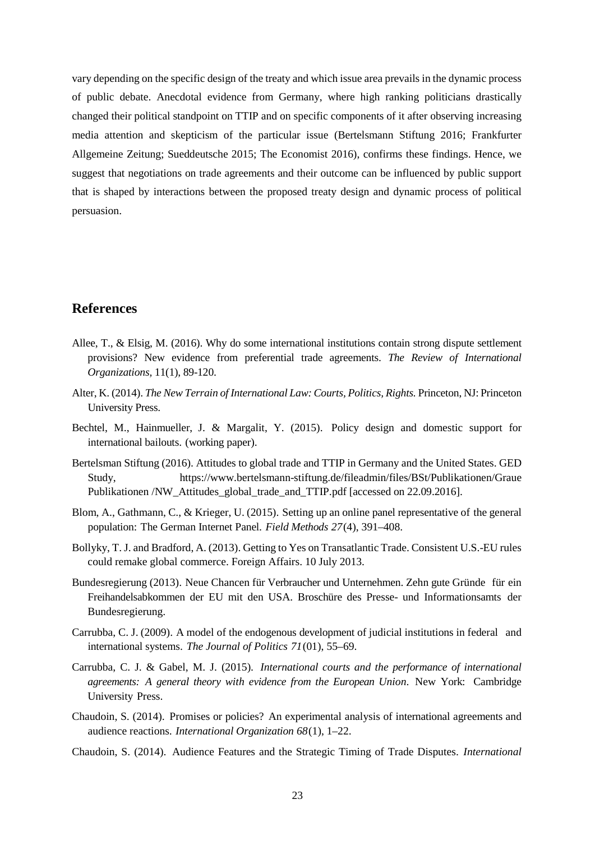vary depending on the specific design of the treaty and which issue area prevails in the dynamic process of public debate. Anecdotal evidence from Germany, where high ranking politicians drastically changed their political standpoint on TTIP and on specific components of it after observing increasing media attention and skepticism of the particular issue (Bertelsmann Stiftung 2016; Frankfurter Allgemeine Zeitung; Sueddeutsche 2015; The Economist 2016), confirms these findings. Hence, we suggest that negotiations on trade agreements and their outcome can be influenced by public support that is shaped by interactions between the proposed treaty design and dynamic process of political persuasion.

# **References**

- Allee, T., & Elsig, M. (2016). Why do some international institutions contain strong dispute settlement provisions? New evidence from preferential trade agreements. *The Review of International Organizations,* 11(1), 89-120.
- Alter, K. (2014). *The New Terrain of International Law: Courts, Politics, Rights.* Princeton, NJ: Princeton University Press.
- Bechtel, M., Hainmueller, J. & Margalit, Y. (2015). Policy design and domestic support for international bailouts. (working paper).
- Bertelsman Stiftung (2016). Attitudes to global trade and TTIP in Germany and the United States. GED Study, <https://www.bertelsmann-stiftung.de/fileadmin/files/BSt/Publikationen/Graue> Publikationen /NW\_Attitudes\_global\_trade\_and\_TTIP.pdf [accessed on 22.09.2016].
- <span id="page-22-1"></span>Blom, A., Gathmann, C., & Krieger, U. (2015). Setting up an online panel representative of the general population: The German Internet Panel. *Field Methods 27*(4), 391–408.
- Bollyky, T. J. and Bradford, A. (2013). Getting to Yes on Transatlantic Trade. Consistent U.S.-EU rules could remake global commerce. Foreign Affairs. 10 July 2013.
- <span id="page-22-0"></span>Bundesregierung (2013). Neue Chancen für Verbraucher und Unternehmen. Zehn gute Gründe für ein Freihandelsabkommen der EU mit den USA. Broschüre des Presse- und Informationsamts der Bundesregierung.
- Carrubba, C. J. (2009). A model of the endogenous development of judicial institutions in federal and international systems. *The Journal of Politics 71*(01), 55–69.
- Carrubba, C. J. & Gabel, M. J. (2015). *International courts and the performance of international agreements: A general theory with evidence from the European Union*. New York: Cambridge University Press.
- Chaudoin, S. (2014). Promises or policies? An experimental analysis of international agreements and audience reactions. *International Organization 68*(1), 1–22.
- Chaudoin, S. (2014). Audience Features and the Strategic Timing of Trade Disputes. *International*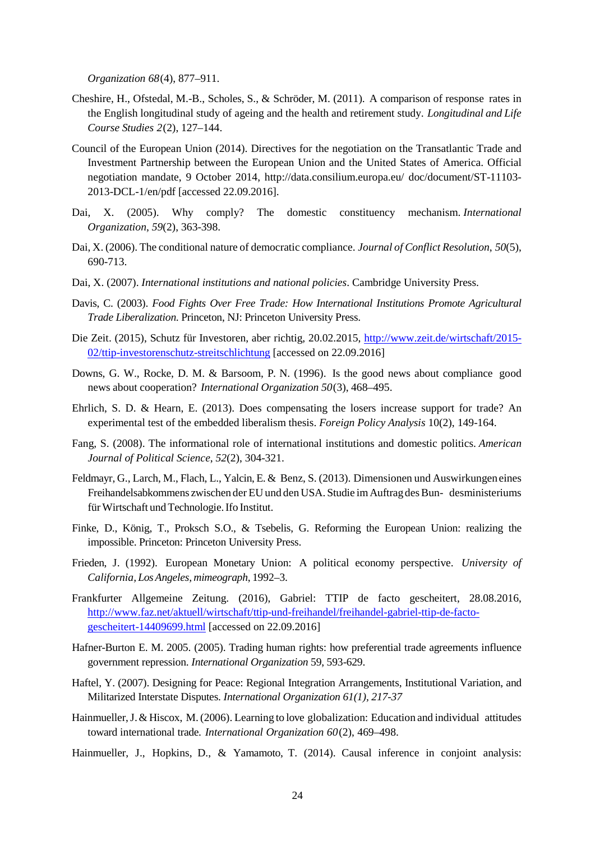*Organization 68*(4), 877–911.

- <span id="page-23-1"></span>Cheshire, H., Ofstedal, M.-B., Scholes, S., & Schröder, M. (2011). A comparison of response rates in the English longitudinal study of ageing and the health and retirement study. *Longitudinal and Life Course Studies 2*(2), 127–144.
- Council of the European Union (2014). Directives for the negotiation on the Transatlantic Trade and Investment Partnership between the European Union and the United States of America. Official negotiation mandate, 9 October 2014,<http://data.consilium.europa.eu/> doc/document/ST-11103- 2013-DCL-1/en/pdf [accessed 22.09.2016].
- Dai, X. (2005). Why comply? The domestic constituency mechanism. *International Organization*, *59*(2), 363-398.
- Dai, X. (2006). The conditional nature of democratic compliance. *Journal of Conflict Resolution*, *50*(5), 690-713.
- Dai, X. (2007). *International institutions and national policies*. Cambridge University Press.
- Davis, C. (2003). *Food Fights Over Free Trade: How International Institutions Promote Agricultural Trade Liberalization*. Princeton, NJ: Princeton University Press.
- Die Zeit. (2015), Schutz für Investoren, aber richtig, 20.02.2015, [http://www.zeit.de/wirtschaft/2015-](http://www.zeit.de/wirtschaft/2015-02/ttip-investorenschutz-streitschlichtung) [02/ttip-investorenschutz-streitschlichtung](http://www.zeit.de/wirtschaft/2015-02/ttip-investorenschutz-streitschlichtung) [accessed on 22.09.2016]
- Downs, G. W., Rocke, D. M. & Barsoom, P. N. (1996). Is the good news about compliance good news about cooperation? *International Organization 50*(3), 468–495.
- Ehrlich, S. D. & Hearn, E. (2013). Does compensating the losers increase support for trade? An experimental test of the embedded liberalism thesis. *Foreign Policy Analysis* 10(2), 149-164.
- Fang, S. (2008). The informational role of international institutions and domestic politics. *American Journal of Political Science*, *52*(2), 304-321.
- Feldmayr, G., Larch, M., Flach, L., Yalcin, E. & Benz, S. (2013). Dimensionen und Auswirkungeneines Freihandelsabkommens zwischen der EU und den USA. Studie imAuftrag desBun- desministeriums fürWirtschaft undTechnologie.Ifo Institut.
- Finke, D., König, T., Proksch S.O., & Tsebelis, G. Reforming the European Union: realizing the impossible. Princeton: Princeton University Press.
- Frieden, J. (1992). European Monetary Union: A political economy perspective. *University of California, LosAngeles, mimeograph*, 1992–3.
- Frankfurter Allgemeine Zeitung. (2016), Gabriel: TTIP de facto gescheitert, 28.08.2016, [http://www.faz.net/aktuell/wirtschaft/ttip-und-freihandel/freihandel-gabriel-ttip-de-facto](http://www.faz.net/aktuell/wirtschaft/ttip-und-freihandel/freihandel-gabriel-ttip-de-facto-gescheitert-14409699.html)[gescheitert-14409699.html](http://www.faz.net/aktuell/wirtschaft/ttip-und-freihandel/freihandel-gabriel-ttip-de-facto-gescheitert-14409699.html) [accessed on 22.09.2016]
- Hafner-Burton E. M. 2005. (2005). Trading human rights: how preferential trade agreements influence government repression. *International Organization* 59, 593-629.
- Haftel, Y. (2007). Designing for Peace: Regional Integration Arrangements, Institutional Variation, and Militarized Interstate Disputes. *International Organization 61(1), 217-37*
- Hainmueller,J.& Hiscox, M.(2006). Learning to love globalization: Education and individual attitudes toward international trade. *International Organization 60*(2), 469–498.
- <span id="page-23-0"></span>Hainmueller, J., Hopkins, D., & Yamamoto, T. (2014). Causal inference in conjoint analysis: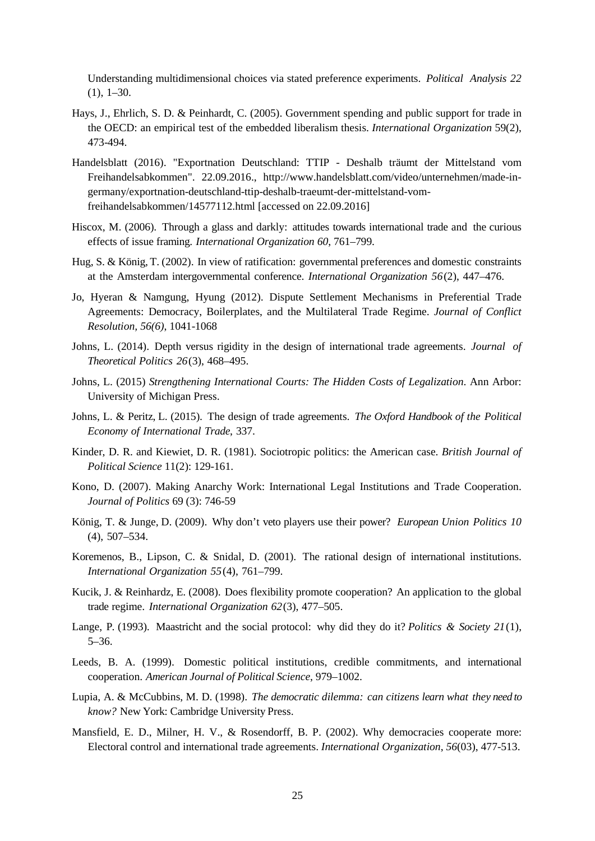Understanding multidimensional choices via stated preference experiments. *Political Analysis 22*  $(1), 1-30.$ 

- Hays, J., Ehrlich, S. D. & Peinhardt, C. (2005). Government spending and public support for trade in the OECD: an empirical test of the embedded liberalism thesis. *International Organization* 59(2), 473-494.
- Handelsblatt (2016). "Exportnation Deutschland: TTIP Deshalb träumt der Mittelstand vom Freihandelsabkommen". 22.09.2016., [http://www.handelsblatt.com/video/unternehmen/made-in](http://www.handelsblatt.com/video/unternehmen/made-in-germany/exportnation-deutschland-ttip-deshalb-traeumt-der-mittelstand-vom-freihandelsabkommen/14577112.html)[germany/exportnation-deutschland-ttip-deshalb-traeumt-der-mittelstand-vom](http://www.handelsblatt.com/video/unternehmen/made-in-germany/exportnation-deutschland-ttip-deshalb-traeumt-der-mittelstand-vom-freihandelsabkommen/14577112.html)[freihandelsabkommen/14577112.html](http://www.handelsblatt.com/video/unternehmen/made-in-germany/exportnation-deutschland-ttip-deshalb-traeumt-der-mittelstand-vom-freihandelsabkommen/14577112.html) [accessed on 22.09.2016]
- Hiscox, M. (2006). Through a glass and darkly: attitudes towards international trade and the curious effects of issue framing. *International Organization 60*, 761–799.
- Hug, S. & König, T. (2002). In view of ratification: governmental preferences and domestic constraints at the Amsterdam intergovernmental conference. *International Organization 56*(2), 447–476.
- Jo, Hyeran & Namgung, Hyung (2012). Dispute Settlement Mechanisms in Preferential Trade Agreements: Democracy, Boilerplates, and the Multilateral Trade Regime. *Journal of Conflict Resolution, 56(6)*, 1041-1068
- Johns, L. (2014). Depth versus rigidity in the design of international trade agreements. *Journal of Theoretical Politics 26*(3), 468–495.
- Johns, L. (2015) *Strengthening International Courts: The Hidden Costs of Legalization*. Ann Arbor: University of Michigan Press.
- Johns, L. & Peritz, L. (2015). The design of trade agreements. *The Oxford Handbook of the Political Economy of International Trade*, 337.
- Kinder, D. R. and Kiewiet, D. R. (1981). Sociotropic politics: the American case. *British Journal of Political Science* 11(2): 129-161.
- Kono, D. (2007). Making Anarchy Work: International Legal Institutions and Trade Cooperation. *Journal of Politics* 69 (3): 746-59
- König, T. & Junge, D. (2009). Why don't veto players use their power? *European Union Politics 10* (4), 507–534.
- Koremenos, B., Lipson, C. & Snidal, D. (2001). The rational design of international institutions. *International Organization 55*(4), 761–799.
- Kucik, J. & Reinhardz, E. (2008). Does flexibility promote cooperation? An application to the global trade regime. *International Organization 62*(3), 477–505.
- Lange, P. (1993). Maastricht and the social protocol: why did they do it? *Politics & Society 21*(1), 5–36.
- Leeds, B. A. (1999). Domestic political institutions, credible commitments, and international cooperation. *American Journal of Political Science*, 979–1002.
- Lupia, A. & McCubbins, M. D. (1998). *The democratic dilemma: can citizens learn what they need to know?* New York: Cambridge University Press.
- Mansfield, E. D., Milner, H. V., & Rosendorff, B. P. (2002). Why democracies cooperate more: Electoral control and international trade agreements. *International Organization*, *56*(03), 477-513.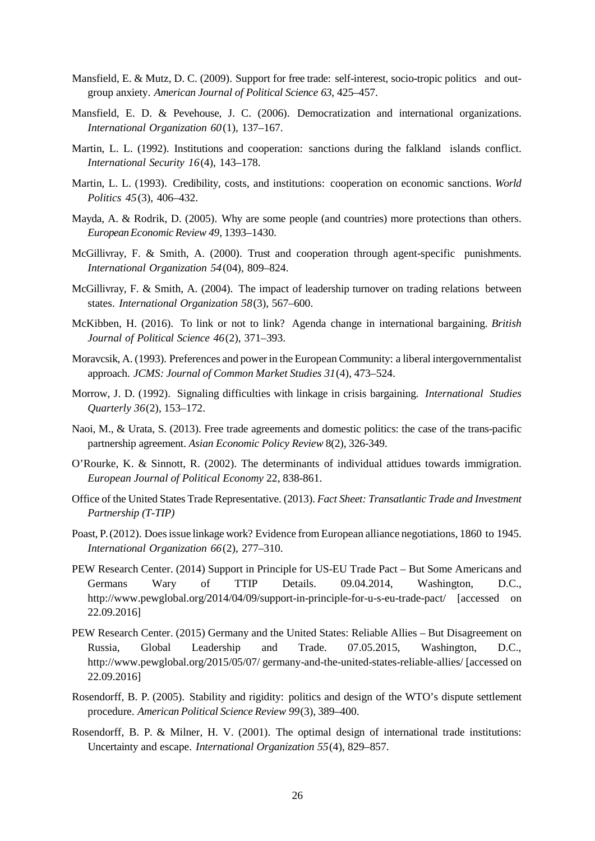- Mansfield, E. & Mutz, D. C. (2009). Support for free trade: self-interest, socio-tropic politics and outgroup anxiety. *American Journal of Political Science 63*, 425–457.
- Mansfield, E. D. & Pevehouse, J. C. (2006). Democratization and international organizations. *International Organization 60*(1), 137–167.
- Martin, L. L. (1992). Institutions and cooperation: sanctions during the falkland islands conflict. *International Security 16*(4), 143–178.
- Martin, L. L. (1993). Credibility, costs, and institutions: cooperation on economic sanctions. *World Politics 45*(3), 406–432.
- Mayda, A. & Rodrik, D. (2005). Why are some people (and countries) more protections than others. *EuropeanEconomic Review 49*, 1393–1430.
- McGillivray, F. & Smith, A. (2000). Trust and cooperation through agent-specific punishments. *International Organization 54*(04), 809–824.
- McGillivray, F. & Smith, A. (2004). The impact of leadership turnover on trading relations between states. *International Organization 58*(3), 567–600.
- McKibben, H. (2016). To link or not to link? Agenda change in international bargaining. *British Journal of Political Science 46*(2), 371–393.
- Moravcsik, A. (1993). Preferences and power in the European Community: a liberal intergovernmentalist approach. *JCMS: Journal of Common Market Studies 31*(4), 473–524.
- Morrow, J. D. (1992). Signaling difficulties with linkage in crisis bargaining. *International Studies Quarterly 36*(2), 153–172.
- Naoi, M., & Urata, S. (2013). Free trade agreements and domestic politics: the case of the trans-pacific partnership agreement. *Asian Economic Policy Review* 8(2), 326-349.
- O'Rourke, K. & Sinnott, R. (2002). The determinants of individual attidues towards immigration. *European Journal of Political Economy* 22, 838-861.
- Office of the United States Trade Representative. (2013). *Fact Sheet: Transatlantic Trade and Investment Partnership (T-TIP)*
- Poast, P. (2012). Doesissue linkage work? Evidence from European alliance negotiations, 1860 to 1945. *International Organization 66*(2), 277–310.
- PEW Research Center. (2014) Support in Principle for US-EU Trade Pact But Some Americans and Germans Wary of TTIP Details. 09.04.2014, Washington, D.C., <http://www.pewglobal.org/2014/04/09/support-in-principle-for-u-s-eu-trade-pact/> [accessed on 22.09.2016]
- PEW Research Center. (2015) Germany and the United States: Reliable Allies But Disagreement on Russia, Global Leadership and Trade. 07.05.2015, Washington, D.C., [http://www.pewglobal.org/2015/05/07/ germany-and-the-united-states-reliable-allies/](http://www.pewglobal.org/2015/05/07/%20germany-and-the-united-states-reliable-allies/) [accessed on 22.09.2016]
- Rosendorff, B. P. (2005). Stability and rigidity: politics and design of the WTO's dispute settlement procedure. *American Political Science Review 99*(3), 389–400.
- Rosendorff, B. P. & Milner, H. V. (2001). The optimal design of international trade institutions: Uncertainty and escape. *International Organization 55*(4), 829–857.